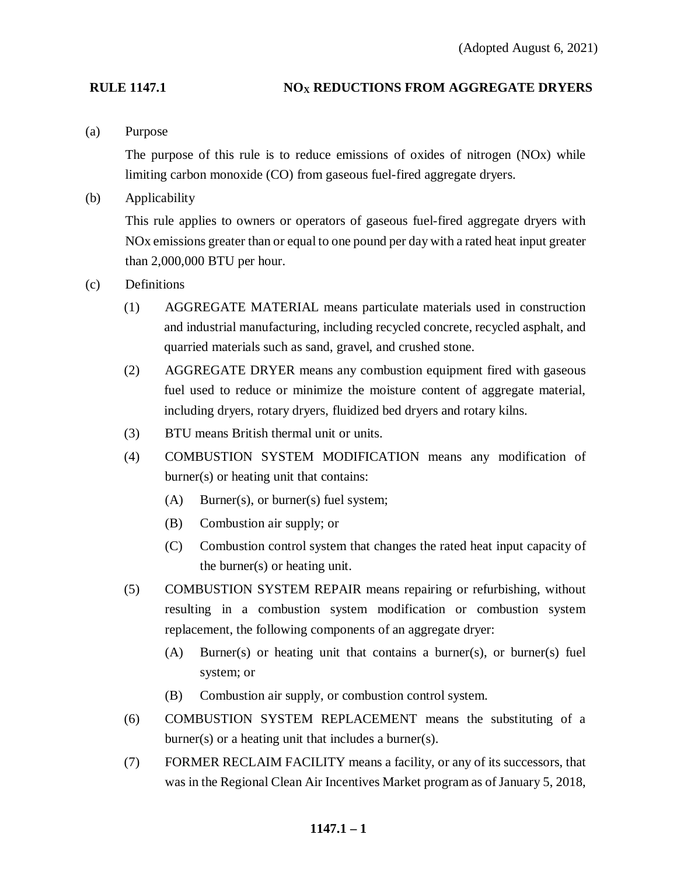### **RULE 1147.1 NOX REDUCTIONS FROM AGGREGATE DRYERS**

(a) Purpose

The purpose of this rule is to reduce emissions of oxides of nitrogen (NOx) while limiting carbon monoxide (CO) from gaseous fuel-fired aggregate dryers.

(b) Applicability

This rule applies to owners or operators of gaseous fuel-fired aggregate dryers with NOx emissions greater than or equal to one pound per day with a rated heat input greater than 2,000,000 BTU per hour.

- (c) Definitions
	- (1) AGGREGATE MATERIAL means particulate materials used in construction and industrial manufacturing, including recycled concrete, recycled asphalt, and quarried materials such as sand, gravel, and crushed stone.
	- (2) AGGREGATE DRYER means any combustion equipment fired with gaseous fuel used to reduce or minimize the moisture content of aggregate material, including dryers, rotary dryers, fluidized bed dryers and rotary kilns.
	- (3) BTU means British thermal unit or units.
	- (4) COMBUSTION SYSTEM MODIFICATION means any modification of burner(s) or heating unit that contains:
		- (A) Burner(s), or burner(s) fuel system;
		- (B) Combustion air supply; or
		- (C) Combustion control system that changes the rated heat input capacity of the burner(s) or heating unit.
	- (5) COMBUSTION SYSTEM REPAIR means repairing or refurbishing, without resulting in a combustion system modification or combustion system replacement, the following components of an aggregate dryer:
		- (A) Burner(s) or heating unit that contains a burner(s), or burner(s) fuel system; or
		- (B) Combustion air supply, or combustion control system.
	- (6) COMBUSTION SYSTEM REPLACEMENT means the substituting of a burner(s) or a heating unit that includes a burner(s).
	- (7) FORMER RECLAIM FACILITY means a facility, or any of its successors, that was in the Regional Clean Air Incentives Market program as of January 5, 2018,

### **1147.1 – 1**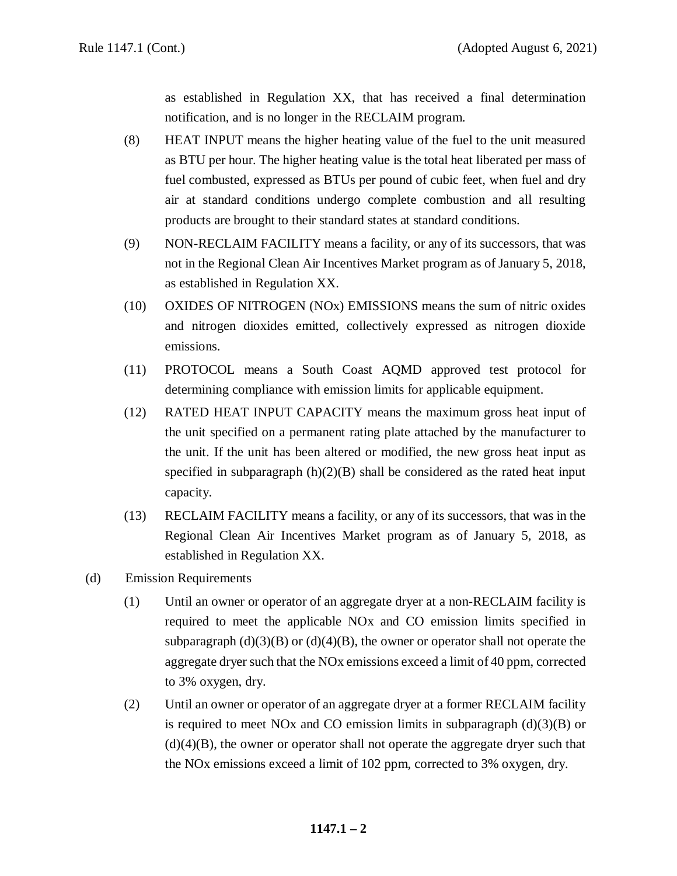as established in Regulation XX, that has received a final determination notification, and is no longer in the RECLAIM program.

- (8) HEAT INPUT means the higher heating value of the fuel to the unit measured as BTU per hour. The higher heating value is the total heat liberated per mass of fuel combusted, expressed as BTUs per pound of cubic feet, when fuel and dry air at standard conditions undergo complete combustion and all resulting products are brought to their standard states at standard conditions.
- (9) NON-RECLAIM FACILITY means a facility, or any of its successors, that was not in the Regional Clean Air Incentives Market program as of January 5, 2018, as established in Regulation XX.
- (10) OXIDES OF NITROGEN (NOx) EMISSIONS means the sum of nitric oxides and nitrogen dioxides emitted, collectively expressed as nitrogen dioxide emissions.
- (11) PROTOCOL means a South Coast AQMD approved test protocol for determining compliance with emission limits for applicable equipment.
- (12) RATED HEAT INPUT CAPACITY means the maximum gross heat input of the unit specified on a permanent rating plate attached by the manufacturer to the unit. If the unit has been altered or modified, the new gross heat input as specified in subparagraph  $(h)(2)(B)$  shall be considered as the rated heat input capacity.
- (13) RECLAIM FACILITY means a facility, or any of its successors, that was in the Regional Clean Air Incentives Market program as of January 5, 2018, as established in Regulation XX.
- (d) Emission Requirements
	- (1) Until an owner or operator of an aggregate dryer at a non-RECLAIM facility is required to meet the applicable NOx and CO emission limits specified in subparagraph  $(d)(3)(B)$  or  $(d)(4)(B)$ , the owner or operator shall not operate the aggregate dryer such that the NOx emissions exceed a limit of 40 ppm, corrected to 3% oxygen, dry.
	- (2) Until an owner or operator of an aggregate dryer at a former RECLAIM facility is required to meet NOx and CO emission limits in subparagraph  $(d)(3)(B)$  or  $(d)(4)(B)$ , the owner or operator shall not operate the aggregate dryer such that the NOx emissions exceed a limit of 102 ppm, corrected to 3% oxygen, dry.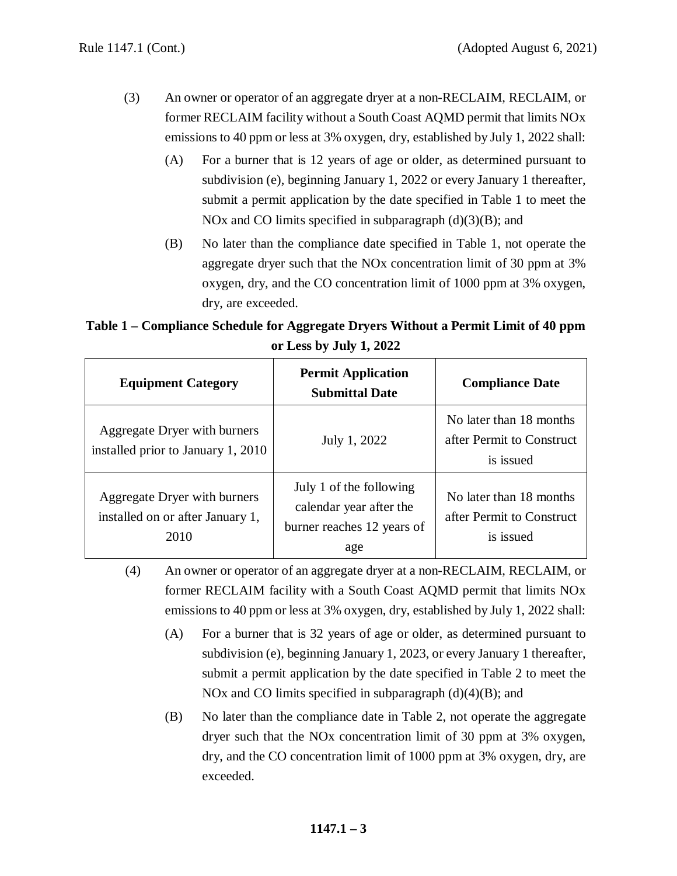- (3) An owner or operator of an aggregate dryer at a non-RECLAIM, RECLAIM, or former RECLAIM facility without a South Coast AQMD permit that limits NOx emissions to 40 ppm or less at 3% oxygen, dry, established by July 1, 2022 shall:
	- (A) For a burner that is 12 years of age or older, as determined pursuant to subdivision (e), beginning January 1, 2022 or every January 1 thereafter, submit a permit application by the date specified in Table 1 to meet the NOx and CO limits specified in subparagraph  $(d)(3)(B)$ ; and
	- (B) No later than the compliance date specified in Table 1, not operate the aggregate dryer such that the NOx concentration limit of 30 ppm at 3% oxygen, dry, and the CO concentration limit of 1000 ppm at 3% oxygen, dry, are exceeded.

**Table 1 – Compliance Schedule for Aggregate Dryers Without a Permit Limit of 40 ppm or Less by July 1, 2022**

| <b>Equipment Category</b>                                                | <b>Permit Application</b><br><b>Submittal Date</b>                                      | <b>Compliance Date</b>                                            |
|--------------------------------------------------------------------------|-----------------------------------------------------------------------------------------|-------------------------------------------------------------------|
| Aggregate Dryer with burners<br>installed prior to January 1, 2010       | July 1, 2022                                                                            | No later than 18 months<br>after Permit to Construct<br>is issued |
| Aggregate Dryer with burners<br>installed on or after January 1,<br>2010 | July 1 of the following<br>calendar year after the<br>burner reaches 12 years of<br>age | No later than 18 months<br>after Permit to Construct<br>is issued |

<sup>(4)</sup> An owner or operator of an aggregate dryer at a non-RECLAIM, RECLAIM, or former RECLAIM facility with a South Coast AQMD permit that limits NOx emissions to 40 ppm or less at 3% oxygen, dry, established by July 1, 2022 shall:

- (A) For a burner that is 32 years of age or older, as determined pursuant to subdivision (e), beginning January 1, 2023, or every January 1 thereafter, submit a permit application by the date specified in Table 2 to meet the NOx and CO limits specified in subparagraph  $(d)(4)(B)$ ; and
- (B) No later than the compliance date in Table 2, not operate the aggregate dryer such that the NOx concentration limit of 30 ppm at 3% oxygen, dry, and the CO concentration limit of 1000 ppm at 3% oxygen, dry, are exceeded.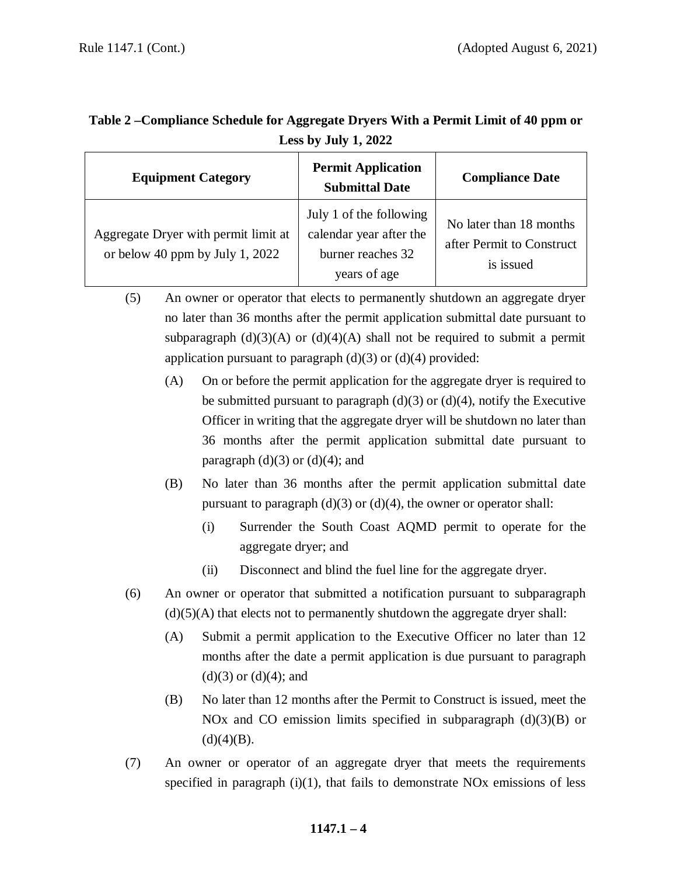| $- - - - - - -$                                                         |                                                                                         |                                                                   |  |
|-------------------------------------------------------------------------|-----------------------------------------------------------------------------------------|-------------------------------------------------------------------|--|
| <b>Equipment Category</b>                                               | <b>Permit Application</b><br><b>Submittal Date</b>                                      | <b>Compliance Date</b>                                            |  |
| Aggregate Dryer with permit limit at<br>or below 40 ppm by July 1, 2022 | July 1 of the following<br>calendar year after the<br>burner reaches 32<br>years of age | No later than 18 months<br>after Permit to Construct<br>is issued |  |

# **Table 2 –Compliance Schedule for Aggregate Dryers With a Permit Limit of 40 ppm or Less by July 1, 2022**

- (5) An owner or operator that elects to permanently shutdown an aggregate dryer no later than 36 months after the permit application submittal date pursuant to subparagraph  $(d)(3)(A)$  or  $(d)(4)(A)$  shall not be required to submit a permit application pursuant to paragraph  $(d)(3)$  or  $(d)(4)$  provided:
	- (A) On or before the permit application for the aggregate dryer is required to be submitted pursuant to paragraph  $(d)(3)$  or  $(d)(4)$ , notify the Executive Officer in writing that the aggregate dryer will be shutdown no later than 36 months after the permit application submittal date pursuant to paragraph  $(d)(3)$  or  $(d)(4)$ ; and
	- (B) No later than 36 months after the permit application submittal date pursuant to paragraph  $(d)(3)$  or  $(d)(4)$ , the owner or operator shall:
		- (i) Surrender the South Coast AQMD permit to operate for the aggregate dryer; and
		- (ii) Disconnect and blind the fuel line for the aggregate dryer.
- (6) An owner or operator that submitted a notification pursuant to subparagraph  $(d)(5)(A)$  that elects not to permanently shutdown the aggregate dryer shall:
	- (A) Submit a permit application to the Executive Officer no later than 12 months after the date a permit application is due pursuant to paragraph  $(d)(3)$  or  $(d)(4)$ ; and
	- (B) No later than 12 months after the Permit to Construct is issued, meet the NOx and CO emission limits specified in subparagraph  $(d)(3)(B)$  or  $(d)(4)(B)$ .
- (7) An owner or operator of an aggregate dryer that meets the requirements specified in paragraph  $(i)(1)$ , that fails to demonstrate NOx emissions of less

## **1147.1 – 4**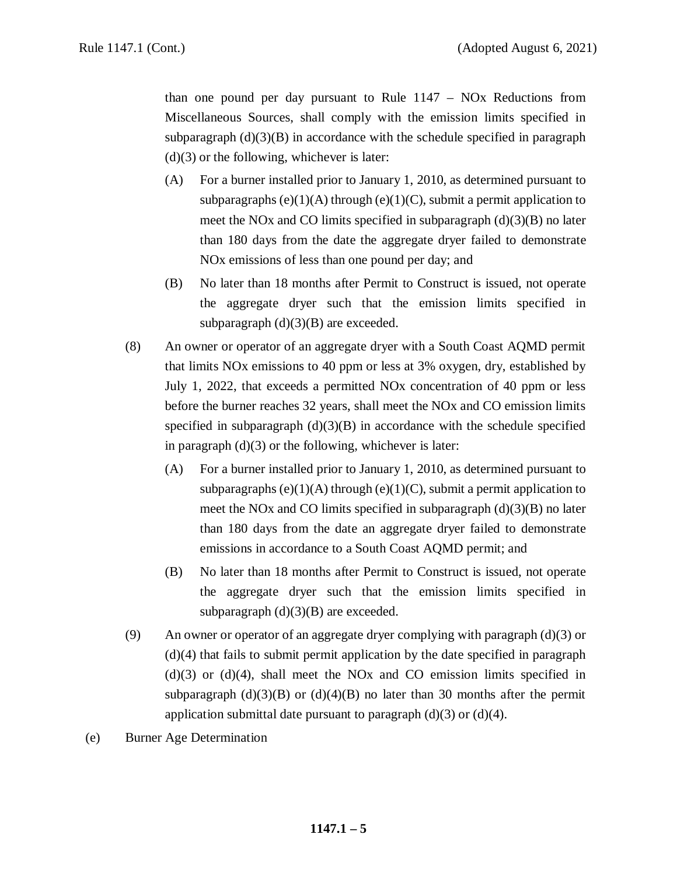than one pound per day pursuant to Rule  $1147 - NOx$  Reductions from Miscellaneous Sources, shall comply with the emission limits specified in subparagraph  $(d)(3)(B)$  in accordance with the schedule specified in paragraph  $(d)(3)$  or the following, whichever is later:

- (A) For a burner installed prior to January 1, 2010, as determined pursuant to subparagraphs  $(e)(1)(A)$  through  $(e)(1)(C)$ , submit a permit application to meet the NOx and CO limits specified in subparagraph (d)(3)(B) no later than 180 days from the date the aggregate dryer failed to demonstrate NOx emissions of less than one pound per day; and
- (B) No later than 18 months after Permit to Construct is issued, not operate the aggregate dryer such that the emission limits specified in subparagraph  $(d)(3)(B)$  are exceeded.
- (8) An owner or operator of an aggregate dryer with a South Coast AQMD permit that limits NOx emissions to 40 ppm or less at 3% oxygen, dry, established by July 1, 2022, that exceeds a permitted NOx concentration of 40 ppm or less before the burner reaches 32 years, shall meet the NOx and CO emission limits specified in subparagraph  $(d)(3)(B)$  in accordance with the schedule specified in paragraph  $(d)(3)$  or the following, whichever is later:
	- (A) For a burner installed prior to January 1, 2010, as determined pursuant to subparagraphs  $(e)(1)(A)$  through  $(e)(1)(C)$ , submit a permit application to meet the NOx and CO limits specified in subparagraph  $(d)(3)(B)$  no later than 180 days from the date an aggregate dryer failed to demonstrate emissions in accordance to a South Coast AQMD permit; and
	- (B) No later than 18 months after Permit to Construct is issued, not operate the aggregate dryer such that the emission limits specified in subparagraph  $(d)(3)(B)$  are exceeded.
- (9) An owner or operator of an aggregate dryer complying with paragraph (d)(3) or (d)(4) that fails to submit permit application by the date specified in paragraph  $(d)(3)$  or  $(d)(4)$ , shall meet the NO<sub>x</sub> and C<sub>O</sub> emission limits specified in subparagraph  $(d)(3)(B)$  or  $(d)(4)(B)$  no later than 30 months after the permit application submittal date pursuant to paragraph  $(d)(3)$  or  $(d)(4)$ .
- (e) Burner Age Determination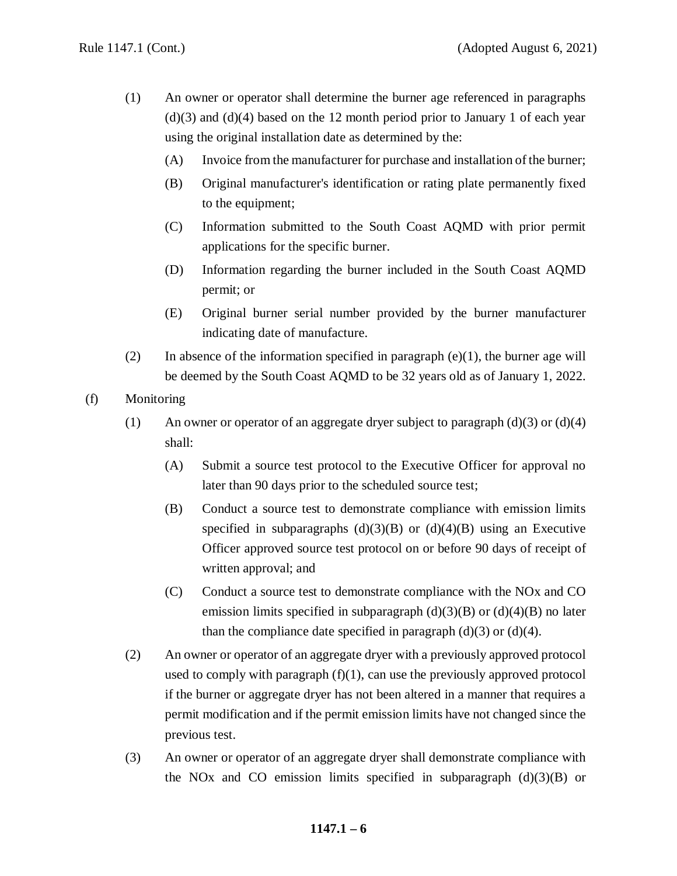- (1) An owner or operator shall determine the burner age referenced in paragraphs  $(d)(3)$  and  $(d)(4)$  based on the 12 month period prior to January 1 of each year using the original installation date as determined by the:
	- (A) Invoice from the manufacturer for purchase and installation of the burner;
	- (B) Original manufacturer's identification or rating plate permanently fixed to the equipment;
	- (C) Information submitted to the South Coast AQMD with prior permit applications for the specific burner.
	- (D) Information regarding the burner included in the South Coast AQMD permit; or
	- (E) Original burner serial number provided by the burner manufacturer indicating date of manufacture.
- (2) In absence of the information specified in paragraph  $(e)(1)$ , the burner age will be deemed by the South Coast AQMD to be 32 years old as of January 1, 2022.
- (f) Monitoring
	- (1) An owner or operator of an aggregate dryer subject to paragraph (d)(3) or (d)(4) shall:
		- (A) Submit a source test protocol to the Executive Officer for approval no later than 90 days prior to the scheduled source test;
		- (B) Conduct a source test to demonstrate compliance with emission limits specified in subparagraphs  $(d)(3)(B)$  or  $(d)(4)(B)$  using an Executive Officer approved source test protocol on or before 90 days of receipt of written approval; and
		- (C) Conduct a source test to demonstrate compliance with the NOx and CO emission limits specified in subparagraph  $(d)(3)(B)$  or  $(d)(4)(B)$  no later than the compliance date specified in paragraph  $(d)(3)$  or  $(d)(4)$ .
	- (2) An owner or operator of an aggregate dryer with a previously approved protocol used to comply with paragraph  $(f)(1)$ , can use the previously approved protocol if the burner or aggregate dryer has not been altered in a manner that requires a permit modification and if the permit emission limits have not changed since the previous test.
	- (3) An owner or operator of an aggregate dryer shall demonstrate compliance with the NO<sub>x</sub> and C<sub>O</sub> emission limits specified in subparagraph  $(d)(3)(B)$  or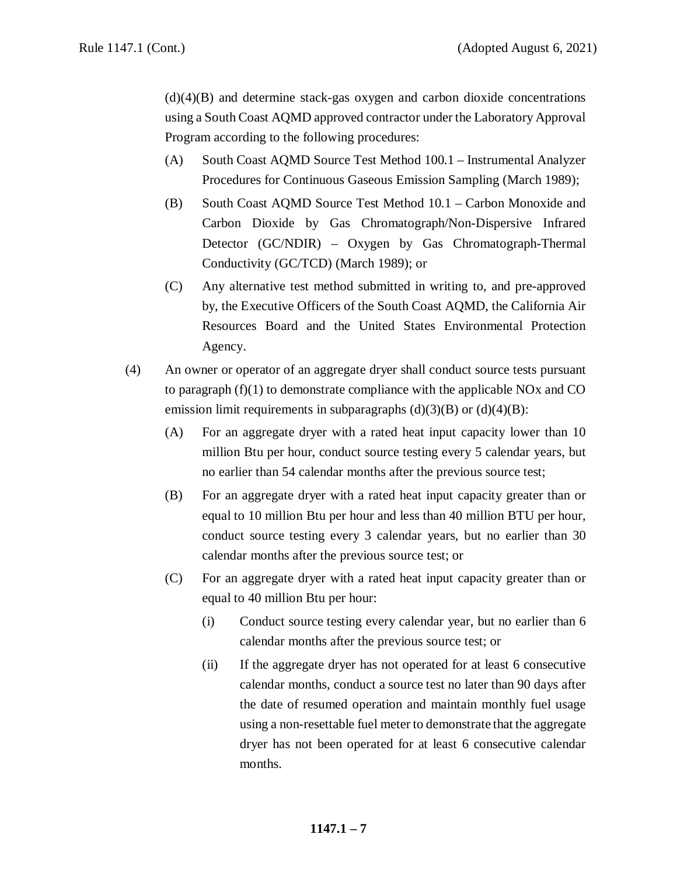$(d)(4)(B)$  and determine stack-gas oxygen and carbon dioxide concentrations using a South Coast AQMD approved contractor under the Laboratory Approval Program according to the following procedures:

- (A) South Coast AQMD Source Test Method 100.1 Instrumental Analyzer Procedures for Continuous Gaseous Emission Sampling (March 1989);
- (B) South Coast AQMD Source Test Method 10.1 Carbon Monoxide and Carbon Dioxide by Gas Chromatograph/Non-Dispersive Infrared Detector (GC/NDIR) – Oxygen by Gas Chromatograph-Thermal Conductivity (GC/TCD) (March 1989); or
- (C) Any alternative test method submitted in writing to, and pre-approved by, the Executive Officers of the South Coast AQMD, the California Air Resources Board and the United States Environmental Protection Agency.
- (4) An owner or operator of an aggregate dryer shall conduct source tests pursuant to paragraph (f)(1) to demonstrate compliance with the applicable NOx and CO emission limit requirements in subparagraphs  $(d)(3)(B)$  or  $(d)(4)(B)$ :
	- (A) For an aggregate dryer with a rated heat input capacity lower than 10 million Btu per hour, conduct source testing every 5 calendar years, but no earlier than 54 calendar months after the previous source test;
	- (B) For an aggregate dryer with a rated heat input capacity greater than or equal to 10 million Btu per hour and less than 40 million BTU per hour, conduct source testing every 3 calendar years, but no earlier than 30 calendar months after the previous source test; or
	- (C) For an aggregate dryer with a rated heat input capacity greater than or equal to 40 million Btu per hour:
		- (i) Conduct source testing every calendar year, but no earlier than 6 calendar months after the previous source test; or
		- (ii) If the aggregate dryer has not operated for at least 6 consecutive calendar months, conduct a source test no later than 90 days after the date of resumed operation and maintain monthly fuel usage using a non-resettable fuel meter to demonstrate that the aggregate dryer has not been operated for at least 6 consecutive calendar months.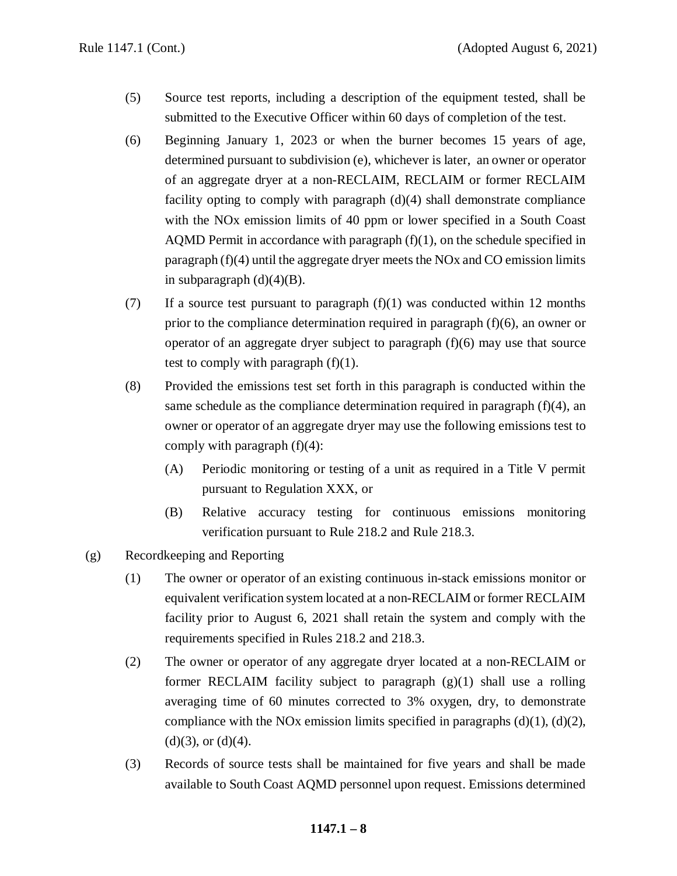- (5) Source test reports, including a description of the equipment tested, shall be submitted to the Executive Officer within 60 days of completion of the test.
- (6) Beginning January 1, 2023 or when the burner becomes 15 years of age, determined pursuant to subdivision (e), whichever is later, an owner or operator of an aggregate dryer at a non-RECLAIM, RECLAIM or former RECLAIM facility opting to comply with paragraph  $(d)(4)$  shall demonstrate compliance with the NOx emission limits of 40 ppm or lower specified in a South Coast AOMD Permit in accordance with paragraph  $(f)(1)$ , on the schedule specified in paragraph (f)(4) until the aggregate dryer meets the NOx and CO emission limits in subparagraph  $(d)(4)(B)$ .
- (7) If a source test pursuant to paragraph  $(f)(1)$  was conducted within 12 months prior to the compliance determination required in paragraph  $(f)(6)$ , an owner or operator of an aggregate dryer subject to paragraph (f)(6) may use that source test to comply with paragraph  $(f)(1)$ .
- (8) Provided the emissions test set forth in this paragraph is conducted within the same schedule as the compliance determination required in paragraph  $(f)(4)$ , an owner or operator of an aggregate dryer may use the following emissions test to comply with paragraph  $(f)(4)$ :
	- (A) Periodic monitoring or testing of a unit as required in a Title V permit pursuant to Regulation XXX, or
	- (B) Relative accuracy testing for continuous emissions monitoring verification pursuant to Rule 218.2 and Rule 218.3.
- (g) Recordkeeping and Reporting
	- (1) The owner or operator of an existing continuous in-stack emissions monitor or equivalent verification system located at a non-RECLAIM or former RECLAIM facility prior to August 6, 2021 shall retain the system and comply with the requirements specified in Rules 218.2 and 218.3.
	- (2) The owner or operator of any aggregate dryer located at a non-RECLAIM or former RECLAIM facility subject to paragraph  $(g)(1)$  shall use a rolling averaging time of 60 minutes corrected to 3% oxygen, dry, to demonstrate compliance with the NOx emission limits specified in paragraphs  $(d)(1)$ ,  $(d)(2)$ ,  $(d)(3)$ , or  $(d)(4)$ .
	- (3) Records of source tests shall be maintained for five years and shall be made available to South Coast AQMD personnel upon request. Emissions determined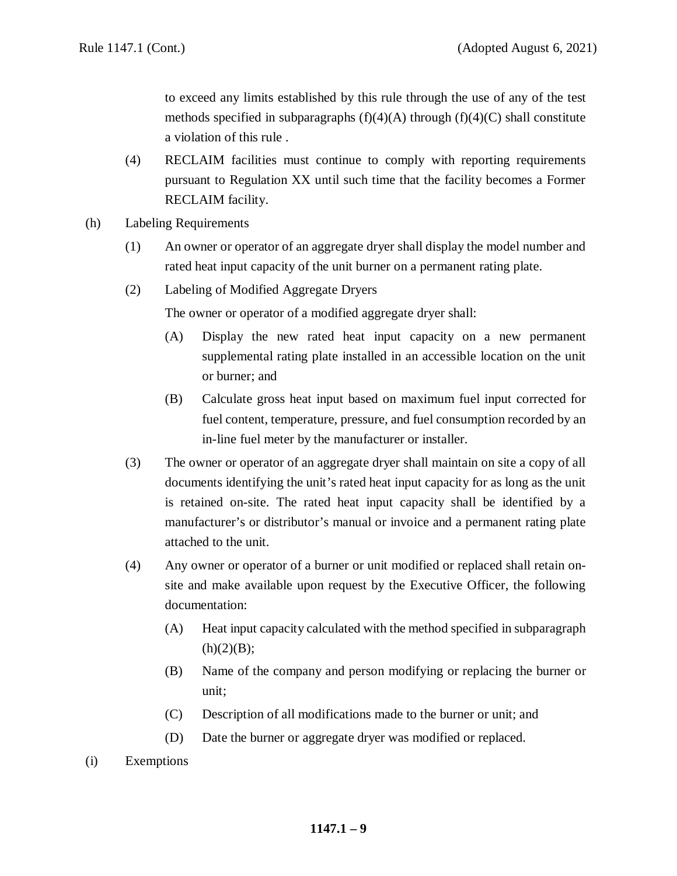to exceed any limits established by this rule through the use of any of the test methods specified in subparagraphs  $(f)(4)(A)$  through  $(f)(4)(C)$  shall constitute a violation of this rule .

- (4) RECLAIM facilities must continue to comply with reporting requirements pursuant to Regulation XX until such time that the facility becomes a Former RECLAIM facility.
- (h) Labeling Requirements
	- (1) An owner or operator of an aggregate dryer shall display the model number and rated heat input capacity of the unit burner on a permanent rating plate.
	- (2) Labeling of Modified Aggregate Dryers

The owner or operator of a modified aggregate dryer shall:

- (A) Display the new rated heat input capacity on a new permanent supplemental rating plate installed in an accessible location on the unit or burner; and
- (B) Calculate gross heat input based on maximum fuel input corrected for fuel content, temperature, pressure, and fuel consumption recorded by an in-line fuel meter by the manufacturer or installer.
- (3) The owner or operator of an aggregate dryer shall maintain on site a copy of all documents identifying the unit's rated heat input capacity for as long as the unit is retained on-site. The rated heat input capacity shall be identified by a manufacturer's or distributor's manual or invoice and a permanent rating plate attached to the unit.
- (4) Any owner or operator of a burner or unit modified or replaced shall retain onsite and make available upon request by the Executive Officer, the following documentation:
	- (A) Heat input capacity calculated with the method specified in subparagraph  $(h)(2)(B);$
	- (B) Name of the company and person modifying or replacing the burner or unit;
	- (C) Description of all modifications made to the burner or unit; and
	- (D) Date the burner or aggregate dryer was modified or replaced.
- (i) Exemptions